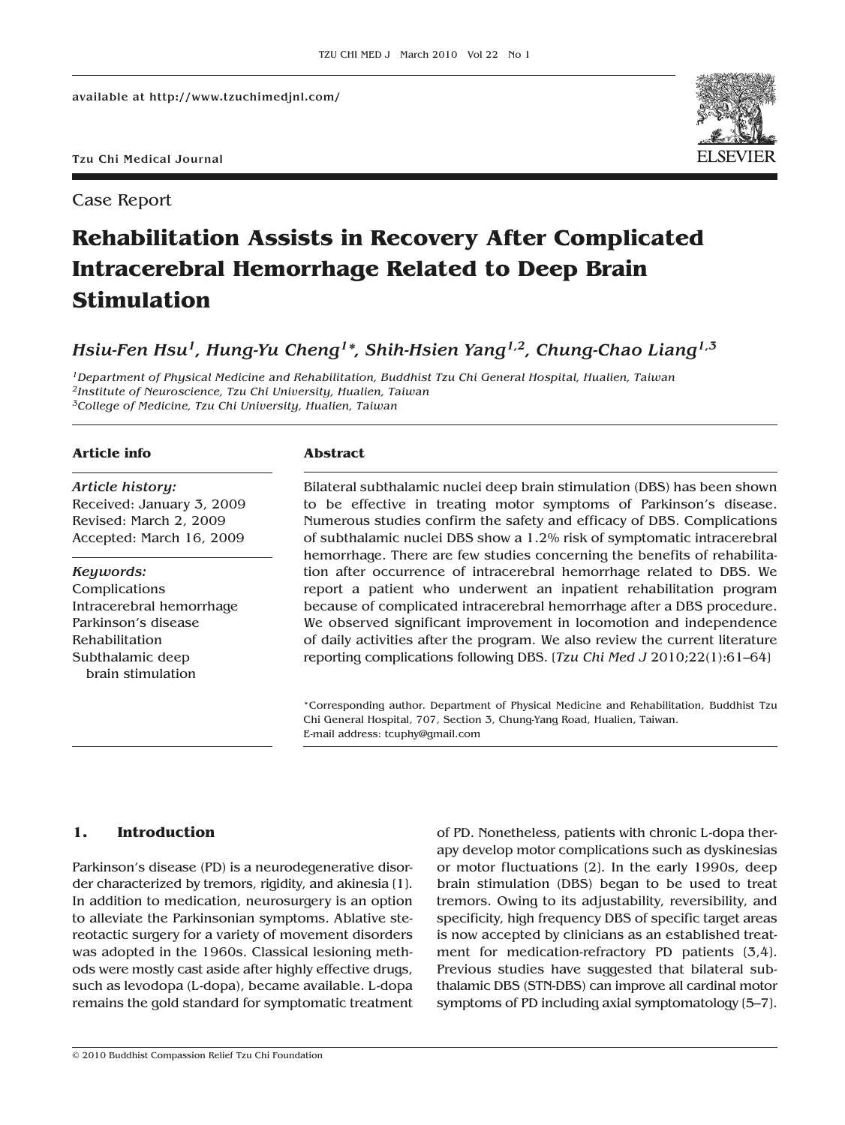Tzu Chi Medical Journal

Case Report



# **Rehabilitation Assists in Recovery After Complicated Intracerebral Hemorrhage Related to Deep Brain Stimulation**

*Hsiu-Fen Hsu1, Hung-Yu Cheng1\*, Shih-Hsien Yang1,2, Chung-Chao Liang1,3*

*1Department of Physical Medicine and Rehabilitation, Buddhist Tzu Chi General Hospital, Hualien, Taiwan 2Institute of Neuroscience, Tzu Chi University, Hualien, Taiwan 3College of Medicine, Tzu Chi University, Hualien, Taiwan*

## **Article info**

*Article history:* Received: January 3, 2009 Revised: March 2, 2009 Accepted: March 16, 2009

*Keywords:* Complications Intracerebral hemorrhage Parkinson's disease Rehabilitation Subthalamic deep brain stimulation

#### **Abstract**

Bilateral subthalamic nuclei deep brain stimulation (DBS) has been shown to be effective in treating motor symptoms of Parkinson's disease. Numerous studies confirm the safety and efficacy of DBS. Complications of subthalamic nuclei DBS show a 1.2% risk of symptomatic intracerebral hemorrhage. There are few studies concerning the benefits of rehabilitation after occurrence of intracerebral hemorrhage related to DBS. We report a patient who underwent an inpatient rehabilitation program because of complicated intracerebral hemorrhage after a DBS procedure. We observed significant improvement in locomotion and independence of daily activities after the program. We also review the current literature reporting complications following DBS. [*Tzu Chi Med J* 2010;22(1):61–64]

\*Corresponding author. Department of Physical Medicine and Rehabilitation, Buddhist Tzu Chi General Hospital, 707, Section 3, Chung-Yang Road, Hualien, Taiwan. E-mail address: tcuphy@gmail.com

# **1. Introduction**

Parkinson's disease (PD) is a neurodegenerative disorder characterized by tremors, rigidity, and akinesia [1]. In addition to medication, neurosurgery is an option to alleviate the Parkinsonian symptoms. Ablative stereotactic surgery for a variety of movement disorders was adopted in the 1960s. Classical lesioning methods were mostly cast aside after highly effective drugs, such as levodopa (L-dopa), became available. L-dopa remains the gold standard for symptomatic treatment of PD. Nonetheless, patients with chronic L-dopa therapy develop motor complications such as dyskinesias or motor fluctuations [2]. In the early 1990s, deep brain stimulation (DBS) began to be used to treat tremors. Owing to its adjustability, reversibility, and specificity, high frequency DBS of specific target areas is now accepted by clinicians as an established treatment for medication-refractory PD patients [3,4]. Previous studies have suggested that bilateral subthalamic DBS (STN-DBS) can improve all cardinal motor symptoms of PD including axial symptomatology [5–7].

© 2010 Buddhist Compassion Relief Tzu Chi Foundation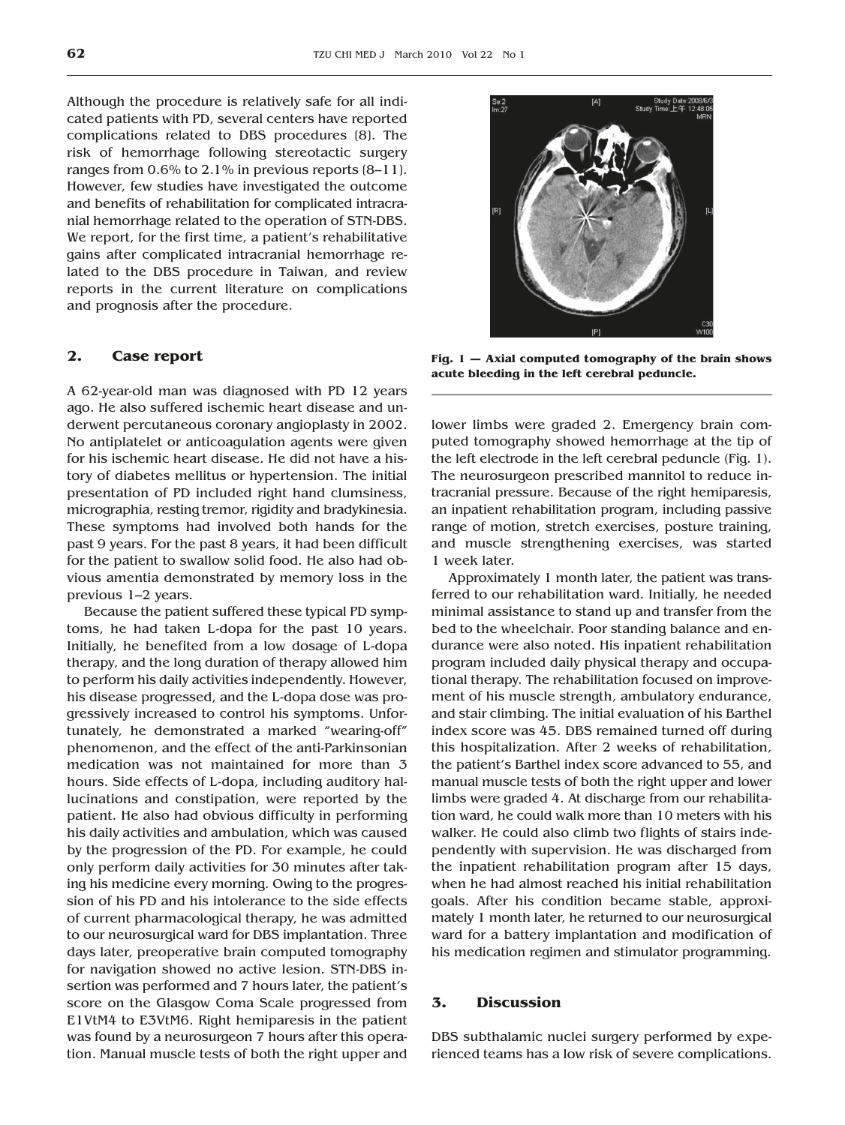Although the procedure is relatively safe for all indicated patients with PD, several centers have reported complications related to DBS procedures [8]. The risk of hemorrhage following stereotactic surgery ranges from 0.6% to 2.1% in previous reports [8–11]. However, few studies have investigated the outcome and benefits of rehabilitation for complicated intracranial hemorrhage related to the operation of STN-DBS. We report, for the first time, a patient's rehabilitative gains after complicated intracranial hemorrhage related to the DBS procedure in Taiwan, and review reports in the current literature on complications and prognosis after the procedure.

# **2. Case report**

A 62-year-old man was diagnosed with PD 12 years ago. He also suffered ischemic heart disease and underwent percutaneous coronary angioplasty in 2002. No antiplatelet or anticoagulation agents were given for his ischemic heart disease. He did not have a history of diabetes mellitus or hypertension. The initial presentation of PD included right hand clumsiness, micrographia, resting tremor, rigidity and bradykinesia. These symptoms had involved both hands for the past 9 years. For the past 8 years, it had been difficult for the patient to swallow solid food. He also had obvious amentia demonstrated by memory loss in the previous 1–2 years.

Because the patient suffered these typical PD symptoms, he had taken L-dopa for the past 10 years. Initially, he benefited from a low dosage of L-dopa therapy, and the long duration of therapy allowed him to perform his daily activities independently. However, his disease progressed, and the L-dopa dose was progressively increased to control his symptoms. Unfortunately, he demonstrated a marked "wearing-off" phenomenon, and the effect of the anti-Parkinsonian medication was not maintained for more than 3 hours. Side effects of L-dopa, including auditory hallucinations and constipation, were reported by the patient. He also had obvious difficulty in performing his daily activities and ambulation, which was caused by the progression of the PD. For example, he could only perform daily activities for 30 minutes after taking his medicine every morning. Owing to the progression of his PD and his intolerance to the side effects of current pharmacological therapy, he was admitted to our neurosurgical ward for DBS implantation. Three days later, preoperative brain computed tomography for navigation showed no active lesion. STN-DBS insertion was performed and 7 hours later, the patient's score on the Glasgow Coma Scale progressed from E1VtM4 to E3VtM6. Right hemiparesis in the patient was found by a neurosurgeon 7 hours after this operation. Manual muscle tests of both the right upper and



**Fig. 1 — Axial computed tomography of the brain shows acute bleeding in the left cerebral peduncle.**

lower limbs were graded 2. Emergency brain computed tomography showed hemorrhage at the tip of the left electrode in the left cerebral peduncle (Fig. 1). The neurosurgeon prescribed mannitol to reduce intracranial pressure. Because of the right hemiparesis, an inpatient rehabilitation program, including passive range of motion, stretch exercises, posture training, and muscle strengthening exercises, was started 1 week later.

Approximately 1 month later, the patient was transferred to our rehabilitation ward. Initially, he needed minimal assistance to stand up and transfer from the bed to the wheelchair. Poor standing balance and endurance were also noted. His inpatient rehabilitation program included daily physical therapy and occupational therapy. The rehabilitation focused on improvement of his muscle strength, ambulatory endurance, and stair climbing. The initial evaluation of his Barthel index score was 45. DBS remained turned off during this hospitalization. After 2 weeks of rehabilitation, the patient's Barthel index score advanced to 55, and manual muscle tests of both the right upper and lower limbs were graded 4. At discharge from our rehabilitation ward, he could walk more than 10 meters with his walker. He could also climb two flights of stairs independently with supervision. He was discharged from the inpatient rehabilitation program after 15 days, when he had almost reached his initial rehabilitation goals. After his condition became stable, approximately 1 month later, he returned to our neurosurgical ward for a battery implantation and modification of his medication regimen and stimulator programming.

### **3. Discussion**

DBS subthalamic nuclei surgery performed by experienced teams has a low risk of severe complications.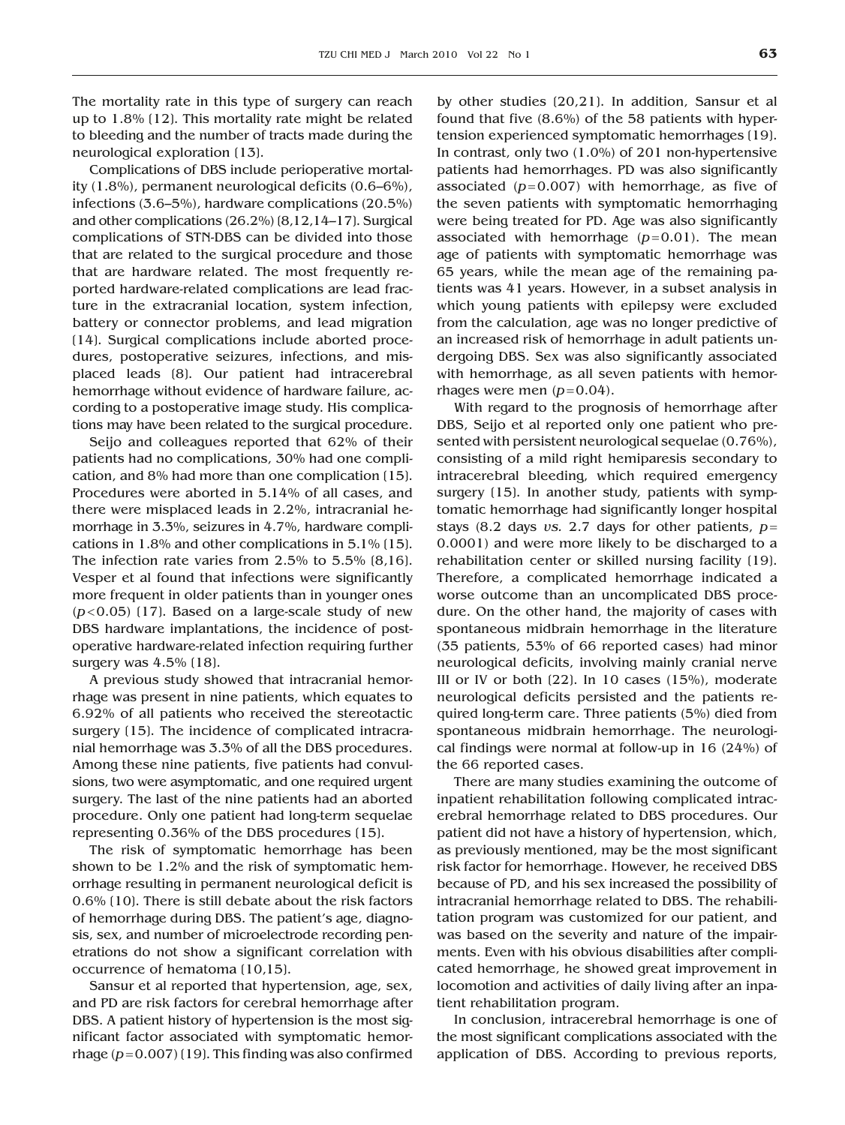The mortality rate in this type of surgery can reach up to 1.8% [12]. This mortality rate might be related to bleeding and the number of tracts made during the neurological exploration [13].

Complications of DBS include perioperative mortality (1.8%), permanent neurological deficits (0.6–6%), infections (3.6–5%), hardware complications (20.5%) and other complications (26.2%) [8,12,14–17]. Surgical complications of STN-DBS can be divided into those that are related to the surgical procedure and those that are hardware related. The most frequently reported hardware-related complications are lead fracture in the extracranial location, system infection, battery or connector problems, and lead migration [14]. Surgical complications include aborted procedures, postoperative seizures, infections, and misplaced leads [8]. Our patient had intracerebral hemorrhage without evidence of hardware failure, according to a postoperative image study. His complications may have been related to the surgical procedure.

Seijo and colleagues reported that 62% of their patients had no complications, 30% had one complication, and 8% had more than one complication [15]. Procedures were aborted in 5.14% of all cases, and there were misplaced leads in 2.2%, intracranial hemorrhage in 3.3%, seizures in 4.7%, hardware complications in 1.8% and other complications in  $5.1\%$  (15). The infection rate varies from 2.5% to 5.5% [8,16]. Vesper et al found that infections were significantly more frequent in older patients than in younger ones  $(p<0.05)$  (17). Based on a large-scale study of new DBS hardware implantations, the incidence of postoperative hardware-related infection requiring further surgery was 4.5% (18).

A previous study showed that intracranial hemorrhage was present in nine patients, which equates to 6.92% of all patients who received the stereotactic surgery (15). The incidence of complicated intracranial hemorrhage was 3.3% of all the DBS procedures. Among these nine patients, five patients had convulsions, two were asymptomatic, and one required urgent surgery. The last of the nine patients had an aborted procedure. Only one patient had long-term sequelae representing 0.36% of the DBS procedures [15].

The risk of symptomatic hemorrhage has been shown to be 1.2% and the risk of symptomatic hemorrhage resulting in permanent neurological deficit is 0.6% [10]. There is still debate about the risk factors of hemorrhage during DBS. The patient's age, diagnosis, sex, and number of microelectrode recording penetrations do not show a significant correlation with occurrence of hematoma [10,15].

Sansur et al reported that hypertension, age, sex, and PD are risk factors for cerebral hemorrhage after DBS. A patient history of hypertension is the most significant factor associated with symptomatic hemorrhage  $(p=0.007)$  (19). This finding was also confirmed by other studies [20,21]. In addition, Sansur et al found that five (8.6%) of the 58 patients with hypertension experienced symptomatic hemorrhages [19]. In contrast, only two (1.0%) of 201 non-hypertensive patients had hemorrhages. PD was also significantly associated  $(p= 0.007)$  with hemorrhage, as five of the seven patients with symptomatic hemorrhaging were being treated for PD. Age was also significantly associated with hemorrhage  $(p=0.01)$ . The mean age of patients with symptomatic hemorrhage was 65 years, while the mean age of the remaining patients was 41 years. However, in a subset analysis in which young patients with epilepsy were excluded from the calculation, age was no longer predictive of an increased risk of hemorrhage in adult patients undergoing DBS. Sex was also significantly associated with hemorrhage, as all seven patients with hemorrhages were men  $(p=0.04)$ .

With regard to the prognosis of hemorrhage after DBS, Seijo et al reported only one patient who presented with persistent neurological sequelae (0.76%), consisting of a mild right hemiparesis secondary to intracerebral bleeding, which required emergency surgery (15). In another study, patients with symptomatic hemorrhage had significantly longer hospital stays (8.2 days *vs.* 2.7 days for other patients, *p*= 0.0001) and were more likely to be discharged to a rehabilitation center or skilled nursing facility [19]. Therefore, a complicated hemorrhage indicated a worse outcome than an uncomplicated DBS procedure. On the other hand, the majority of cases with spontaneous midbrain hemorrhage in the literature (35 patients, 53% of 66 reported cases) had minor neurological deficits, involving mainly cranial nerve III or IV or both [22]. In 10 cases (15%), moderate neurological deficits persisted and the patients required long-term care. Three patients (5%) died from spontaneous midbrain hemorrhage. The neurological findings were normal at follow-up in 16 (24%) of the 66 reported cases.

There are many studies examining the outcome of inpatient rehabilitation following complicated intracerebral hemorrhage related to DBS procedures. Our patient did not have a history of hypertension, which, as previously mentioned, may be the most significant risk factor for hemorrhage. However, he received DBS because of PD, and his sex increased the possibility of intracranial hemorrhage related to DBS. The rehabilitation program was customized for our patient, and was based on the severity and nature of the impairments. Even with his obvious disabilities after complicated hemorrhage, he showed great improvement in locomotion and activities of daily living after an inpatient rehabilitation program.

In conclusion, intracerebral hemorrhage is one of the most significant complications associated with the application of DBS. According to previous reports,